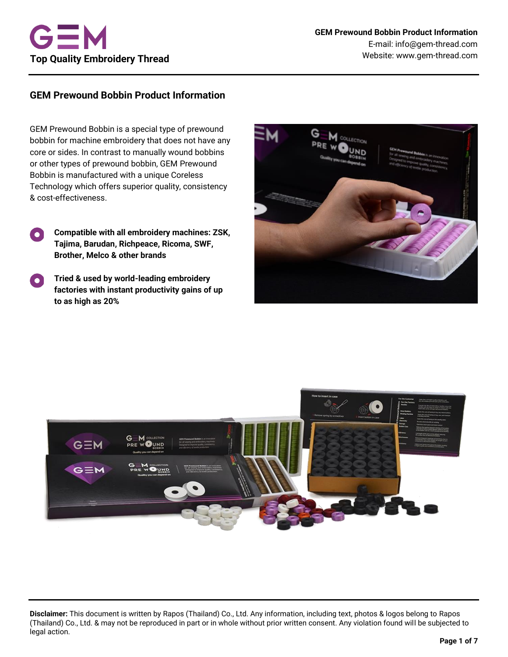# **GEM Prewound Bobbin Product Information**

GEM Prewound Bobbin is a special type of prewound bobbin for machine embroidery that does not have any core or sides. In contrast to manually wound bobbins or other types of prewound bobbin, GEM Prewound Bobbin is manufactured with a unique Coreless Technology which offers superior quality, consistency & cost-effectiveness.

- **Compatible with all embroidery machines: ZSK, Tajima, Barudan, Richpeace, Ricoma, SWF, Brother, Melco & other brands**
- **Tried & used by world-leading embroidery**   $\bullet$ **factories with instant productivity gains of up to as high as 20%**





**Disclaimer:** This document is written by Rapos (Thailand) Co., Ltd. Any information, including text, photos & logos belong to Rapos (Thailand) Co., Ltd. & may not be reproduced in part or in whole without prior written consent. Any violation found will be subjected to legal action.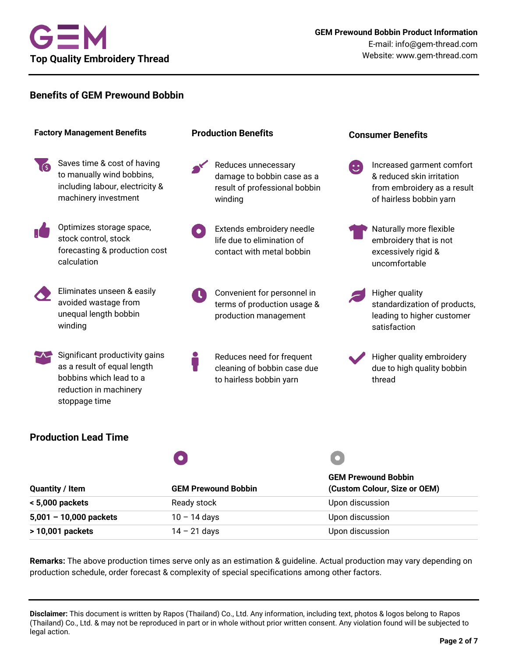

## **Benefits of GEM Prewound Bobbin**



**Remarks:** The above production times serve only as an estimation & guideline. Actual production may vary depending on production schedule, order forecast & complexity of special specifications among other factors.

**Disclaimer:** This document is written by Rapos (Thailand) Co., Ltd. Any information, including text, photos & logos belong to Rapos (Thailand) Co., Ltd. & may not be reproduced in part or in whole without prior written consent. Any violation found will be subjected to legal action.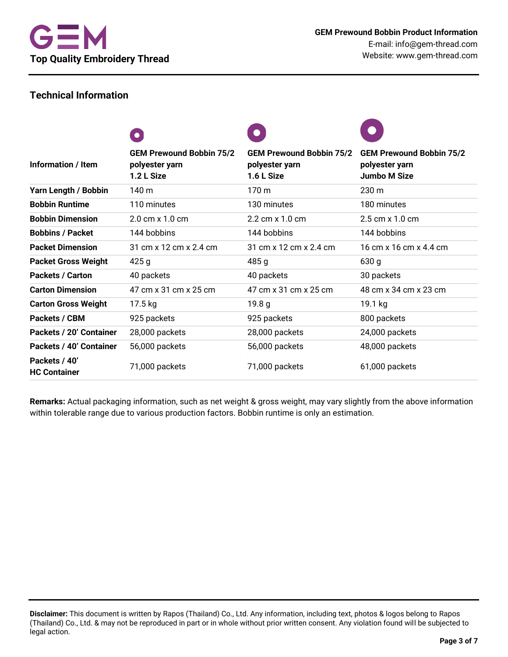# **Technical Information**

|                                      | $\bullet$                                                       | $\bullet$                                                       |                                                                          |
|--------------------------------------|-----------------------------------------------------------------|-----------------------------------------------------------------|--------------------------------------------------------------------------|
| Information / Item                   | <b>GEM Prewound Bobbin 75/2</b><br>polyester yarn<br>1.2 L Size | <b>GEM Prewound Bobbin 75/2</b><br>polyester yarn<br>1.6 L Size | <b>GEM Prewound Bobbin 75/2</b><br>polyester yarn<br><b>Jumbo M Size</b> |
| Yarn Length / Bobbin                 | 140 m                                                           | 170 <sub>m</sub>                                                | 230 <sub>m</sub>                                                         |
| <b>Bobbin Runtime</b>                | 110 minutes                                                     | 130 minutes                                                     | 180 minutes                                                              |
| <b>Bobbin Dimension</b>              | 2.0 cm x 1.0 cm                                                 | 2.2 cm x 1.0 cm                                                 | 2.5 cm x 1.0 cm                                                          |
| <b>Bobbins / Packet</b>              | 144 bobbins                                                     | 144 bobbins                                                     | 144 bobbins                                                              |
| <b>Packet Dimension</b>              | 31 cm x 12 cm x 2.4 cm                                          | 31 cm x 12 cm x 2.4 cm                                          | 16 cm x 16 cm x 4.4 cm                                                   |
| <b>Packet Gross Weight</b>           | 425g                                                            | 485g                                                            | 630 g                                                                    |
| <b>Packets / Carton</b>              | 40 packets                                                      | 40 packets                                                      | 30 packets                                                               |
| <b>Carton Dimension</b>              | 47 cm x 31 cm x 25 cm                                           | 47 cm x 31 cm x 25 cm                                           | 48 cm x 34 cm x 23 cm                                                    |
| <b>Carton Gross Weight</b>           | 17.5 kg                                                         | 19.8 g                                                          | 19.1 kg                                                                  |
| Packets / CBM                        | 925 packets                                                     | 925 packets                                                     | 800 packets                                                              |
| Packets / 20' Container              | 28,000 packets                                                  | 28,000 packets                                                  | 24,000 packets                                                           |
| Packets / 40' Container              | 56,000 packets                                                  | 56,000 packets                                                  | 48,000 packets                                                           |
| Packets / 40'<br><b>HC Container</b> | 71,000 packets                                                  | 71,000 packets                                                  | 61,000 packets                                                           |

**Remarks:** Actual packaging information, such as net weight & gross weight, may vary slightly from the above information within tolerable range due to various production factors. Bobbin runtime is only an estimation.

**Disclaimer:** This document is written by Rapos (Thailand) Co., Ltd. Any information, including text, photos & logos belong to Rapos (Thailand) Co., Ltd. & may not be reproduced in part or in whole without prior written consent. Any violation found will be subjected to legal action.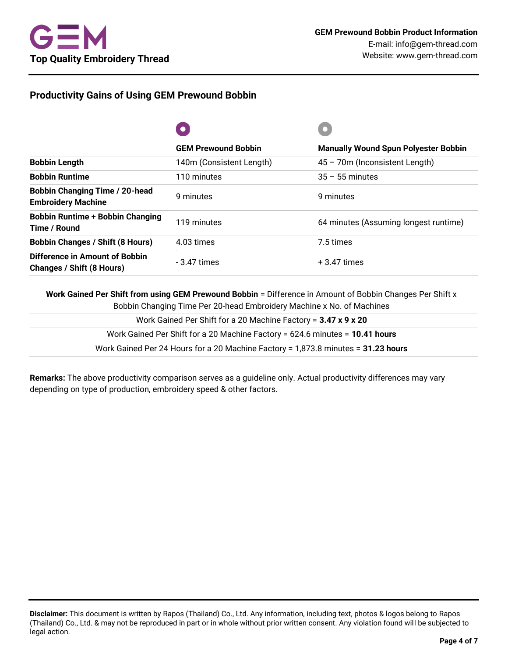# **Productivity Gains of Using GEM Prewound Bobbin**

|                                                                    | <b>GEM Prewound Bobbin</b> | <b>Manually Wound Spun Polyester Bobbin</b> |
|--------------------------------------------------------------------|----------------------------|---------------------------------------------|
| <b>Bobbin Length</b>                                               | 140m (Consistent Length)   | 45 - 70m (Inconsistent Length)              |
| <b>Bobbin Runtime</b>                                              | 110 minutes                | $35 - 55$ minutes                           |
| <b>Bobbin Changing Time / 20-head</b><br><b>Embroidery Machine</b> | 9 minutes                  | 9 minutes                                   |
| <b>Bobbin Runtime + Bobbin Changing</b><br>Time / Round            | 119 minutes                | 64 minutes (Assuming longest runtime)       |
| <b>Bobbin Changes / Shift (8 Hours)</b>                            | 4.03 times                 | 7.5 times                                   |
| Difference in Amount of Bobbin<br>Changes / Shift (8 Hours)        | $-3.47$ times              | $+3.47$ times                               |

**Work Gained Per Shift from using GEM Prewound Bobbin** = Difference in Amount of Bobbin Changes Per Shift x Bobbin Changing Time Per 20-head Embroidery Machine x No. of Machines

| Work Gained Per Shift for a 20 Machine Factory = 3.47 x 9 x 20                    |
|-----------------------------------------------------------------------------------|
| Work Gained Per Shift for a 20 Machine Factory = 624.6 minutes = 10.41 hours      |
| Work Gained Per 24 Hours for a 20 Machine Factory = 1,873.8 minutes = 31.23 hours |

**Remarks:** The above productivity comparison serves as a guideline only. Actual productivity differences may vary depending on type of production, embroidery speed & other factors.

**Disclaimer:** This document is written by Rapos (Thailand) Co., Ltd. Any information, including text, photos & logos belong to Rapos (Thailand) Co., Ltd. & may not be reproduced in part or in whole without prior written consent. Any violation found will be subjected to legal action.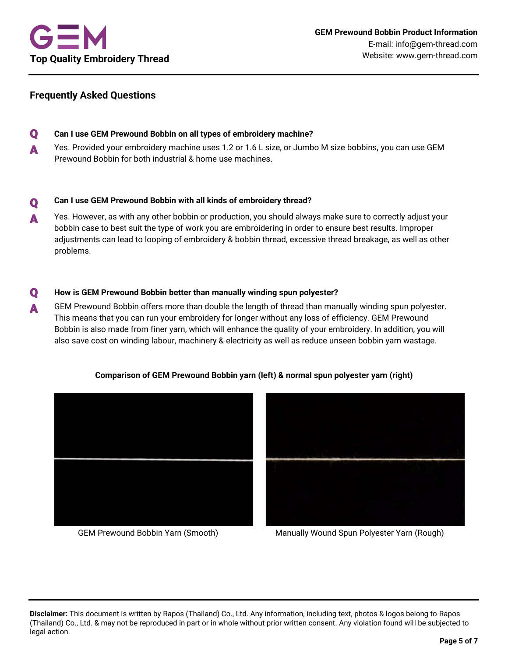# **Frequently Asked Questions**

Q **Can I use GEM Prewound Bobbin on all types of embroidery machine?** A Yes. Provided your embroidery machine uses 1.2 or 1.6 L size, or Jumbo M size bobbins, you can use GEM Prewound Bobbin for both industrial & home use machines.

#### $\mathbf{O}$ **Can I use GEM Prewound Bobbin with all kinds of embroidery thread?**

A Yes. However, as with any other bobbin or production, you should always make sure to correctly adjust your bobbin case to best suit the type of work you are embroidering in order to ensure best results. Improper adjustments can lead to looping of embroidery & bobbin thread, excessive thread breakage, as well as other problems.

## Q **How is GEM Prewound Bobbin better than manually winding spun polyester?**

**A** GEM Prewound Bobbin offers more than double the length of thread than manually winding spun polyester. This means that you can run your embroidery for longer without any loss of efficiency. GEM Prewound Bobbin is also made from finer yarn, which will enhance the quality of your embroidery. In addition, you will also save cost on winding labour, machinery & electricity as well as reduce unseen bobbin yarn wastage.



## **Comparison of GEM Prewound Bobbin yarn (left) & normal spun polyester yarn (right)**



GEM Prewound Bobbin Yarn (Smooth) Manually Wound Spun Polyester Yarn (Rough)

**Disclaimer:** This document is written by Rapos (Thailand) Co., Ltd. Any information, including text, photos & logos belong to Rapos (Thailand) Co., Ltd. & may not be reproduced in part or in whole without prior written consent. Any violation found will be subjected to legal action.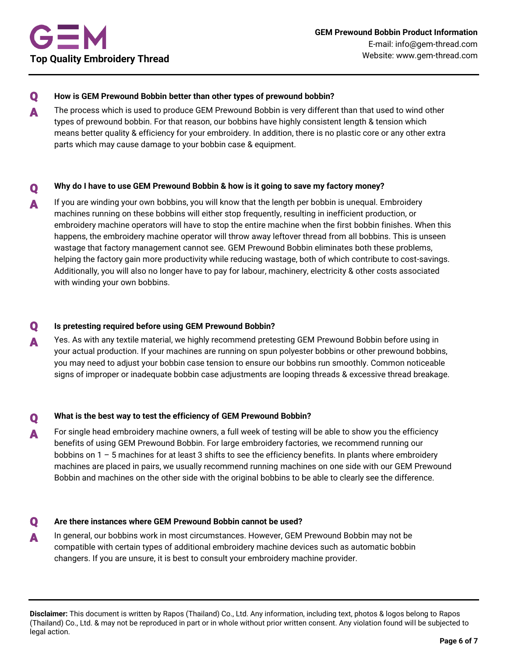### Q **How is GEM Prewound Bobbin better than other types of prewound bobbin?**

A The process which is used to produce GEM Prewound Bobbin is very different than that used to wind other types of prewound bobbin. For that reason, our bobbins have highly consistent length & tension which means better quality & efficiency for your embroidery. In addition, there is no plastic core or any other extra parts which may cause damage to your bobbin case & equipment.

# Q **Why do I have to use GEM Prewound Bobbin & how is it going to save my factory money?**

**A** If you are winding your own bobbins, you will know that the length per bobbin is unequal. Embroidery machines running on these bobbins will either stop frequently, resulting in inefficient production, or embroidery machine operators will have to stop the entire machine when the first bobbin finishes. When this happens, the embroidery machine operator will throw away leftover thread from all bobbins. This is unseen wastage that factory management cannot see. GEM Prewound Bobbin eliminates both these problems, helping the factory gain more productivity while reducing wastage, both of which contribute to cost-savings. Additionally, you will also no longer have to pay for labour, machinery, electricity & other costs associated with winding your own bobbins.

## Q **Is pretesting required before using GEM Prewound Bobbin?**

A Yes. As with any textile material, we highly recommend pretesting GEM Prewound Bobbin before using in your actual production. If your machines are running on spun polyester bobbins or other prewound bobbins, you may need to adjust your bobbin case tension to ensure our bobbins run smoothly. Common noticeable signs of improper or inadequate bobbin case adjustments are looping threads & excessive thread breakage.

# Q **What is the best way to test the efficiency of GEM Prewound Bobbin?**

A For single head embroidery machine owners, a full week of testing will be able to show you the efficiency benefits of using GEM Prewound Bobbin. For large embroidery factories, we recommend running our bobbins on 1 – 5 machines for at least 3 shifts to see the efficiency benefits. In plants where embroidery machines are placed in pairs, we usually recommend running machines on one side with our GEM Prewound Bobbin and machines on the other side with the original bobbins to be able to clearly see the difference.

### Q **Are there instances where GEM Prewound Bobbin cannot be used?**

**A** In general, our bobbins work in most circumstances. However, GEM Prewound Bobbin may not be compatible with certain types of additional embroidery machine devices such as automatic bobbin changers. If you are unsure, it is best to consult your embroidery machine provider.

**Disclaimer:** This document is written by Rapos (Thailand) Co., Ltd. Any information, including text, photos & logos belong to Rapos (Thailand) Co., Ltd. & may not be reproduced in part or in whole without prior written consent. Any violation found will be subjected to legal action.